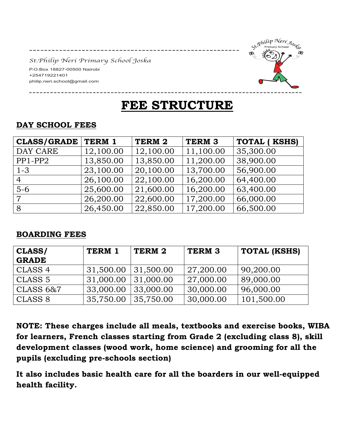*St.Philip Neri Primary School Joska* 

-----------------------

P.O.Box 18827-00500 Nairobi +254719221401 philip.neri.school@gmail.com



# **FEE STRUCTURE**

| <b>CLASS/GRADE</b> | TERM 1    | TERM 2    | <b>TERM 3</b> | <b>TOTAL (KSHS)</b> |
|--------------------|-----------|-----------|---------------|---------------------|
| DAY CARE           | 12,100.00 | 12,100.00 | 11,100.00     | 35,300.00           |
| $PP1-PP2$          | 13,850.00 | 13,850.00 | 11,200.00     | 38,900.00           |
| $1 - 3$            | 23,100.00 | 20,100.00 | 13,700.00     | 56,900.00           |
| $\overline{4}$     | 26,100.00 | 22,100.00 | 16,200.00     | 64,400.00           |
| $5-6$              | 25,600.00 | 21,600.00 | 16,200.00     | 63,400.00           |
| $\overline{7}$     | 26,200.00 | 22,600.00 | 17,200.00     | 66,000.00           |
| 8                  | 26,450.00 | 22,850.00 | 17,200.00     | 66,500.00           |

# **DAY SCHOOL FEES**

#### **BOARDING FEES**

| CLASS/               | TERM 1    | TERM 2    | TERM <sub>3</sub> | <b>TOTAL (KSHS)</b> |
|----------------------|-----------|-----------|-------------------|---------------------|
| <b>GRADE</b>         |           |           |                   |                     |
| CLASS <sub>4</sub>   | 31,500.00 | 31,500.00 | 27,200.00         | 90,200.00           |
| CLASS <sub>5</sub>   | 31,000.00 | 31,000.00 | 27,000.00         | 89,000.00           |
| <b>CLASS 6&amp;7</b> | 33,000.00 | 33,000.00 | 30,000.00         | 96,000.00           |
| CLASS 8              | 35,750.00 | 35,750.00 | 30,000.00         | 101,500.00          |

**NOTE: These charges include all meals, textbooks and exercise books, WIBA for learners, French classes starting from Grade 2 (excluding class 8), skill development classes (wood work, home science) and grooming for all the pupils (excluding pre-schools section)** 

**It also includes basic health care for all the boarders in our well-equipped health facility.**